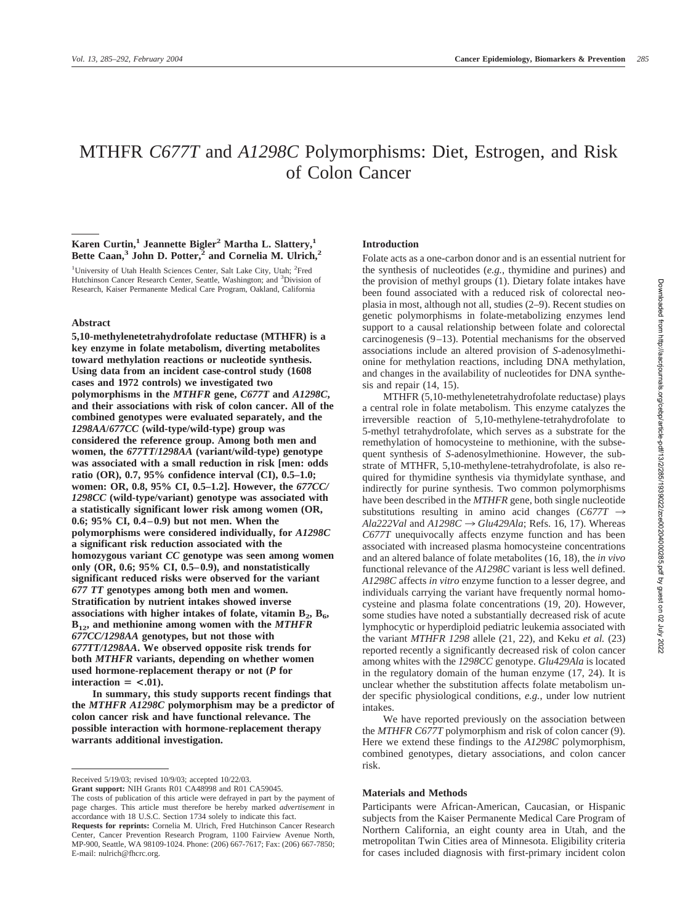# MTHFR *C677T* and *A1298C* Polymorphisms: Diet, Estrogen, and Risk of Colon Cancer

# **Karen Curtin,<sup>1</sup> Jeannette Bigler<sup>2</sup> Martha L. Slattery,<sup>1</sup>** Bette Caan,<sup>3</sup> John D. Potter,<sup>2</sup> and Cornelia M. Ulrich,<sup>2</sup>

<sup>1</sup>University of Utah Health Sciences Center, Salt Lake City, Utah; <sup>2</sup>Fred Hutchinson Cancer Research Center, Seattle, Washington; and <sup>3</sup>Division of Research, Kaiser Permanente Medical Care Program, Oakland, California

# **Abstract**

**5,10-methylenetetrahydrofolate reductase (MTHFR) is a key enzyme in folate metabolism, diverting metabolites toward methylation reactions or nucleotide synthesis. Using data from an incident case-control study (1608 cases and 1972 controls) we investigated two polymorphisms in the** *MTHFR* **gene,** *C677T* **and** *A1298C***, and their associations with risk of colon cancer. All of the combined genotypes were evaluated separately, and the** *1298AA***/***677CC* **(wild-type/wild-type) group was considered the reference group. Among both men and women, the** *677TT***/***1298AA* **(variant/wild-type) genotype was associated with a small reduction in risk [men: odds ratio (OR), 0.7, 95% confidence interval (CI), 0.5–1.0; women: OR, 0.8, 95% CI, 0.5–1.2]. However, the** *677CC/ 1298CC* **(wild-type/variant) genotype was associated with a statistically significant lower risk among women (OR, 0.6; 95% CI, 0.4–0.9) but not men. When the polymorphisms were considered individually, for** *A1298C* **a significant risk reduction associated with the homozygous variant** *CC* **genotype was seen among women only (OR, 0.6; 95% CI, 0.5–0.9), and nonstatistically significant reduced risks were observed for the variant** *677 TT* **genotypes among both men and women. Stratification by nutrient intakes showed inverse** associations with higher intakes of folate, vitamin  $B_2, B_6$ , **B12, and methionine among women with the** *MTHFR 677CC/1298AA* **genotypes, but not those with** *677TT/1298AA***. We observed opposite risk trends for both** *MTHFR* **variants, depending on whether women used hormone-replacement therapy or not (***P* **for**  $\text{interaction} = \langle .01 \rangle$ .

**In summary, this study supports recent findings that the** *MTHFR A1298C* **polymorphism may be a predictor of colon cancer risk and have functional relevance. The possible interaction with hormone-replacement therapy warrants additional investigation.**

The costs of publication of this article were defrayed in part by the payment of page charges. This article must therefore be hereby marked *advertisement* in

# **Introduction**

Folate acts as a one-carbon donor and is an essential nutrient for the synthesis of nucleotides (*e.g.,* thymidine and purines) and the provision of methyl groups (1). Dietary folate intakes have been found associated with a reduced risk of colorectal neoplasia in most, although not all, studies (2–9). Recent studies on genetic polymorphisms in folate-metabolizing enzymes lend support to a causal relationship between folate and colorectal carcinogenesis (9–13). Potential mechanisms for the observed associations include an altered provision of *S*-adenosylmethionine for methylation reactions, including DNA methylation, and changes in the availability of nucleotides for DNA synthesis and repair (14, 15).

MTHFR (5,10-methylenetetrahydrofolate reductase) plays a central role in folate metabolism. This enzyme catalyzes the irreversible reaction of 5,10-methylene-tetrahydrofolate to 5-methyl tetrahydrofolate, which serves as a substrate for the remethylation of homocysteine to methionine, with the subsequent synthesis of *S*-adenosylmethionine. However, the substrate of MTHFR, 5,10-methylene-tetrahydrofolate, is also required for thymidine synthesis via thymidylate synthase, and indirectly for purine synthesis. Two common polymorphisms have been described in the *MTHFR* gene, both single nucleotide substitutions resulting in amino acid changes ( $C677T \rightarrow$ *Ala222Val* and  $A1298C \rightarrow Glu429Ala$ ; Refs. 16, 17). Whereas *C677T* unequivocally affects enzyme function and has been associated with increased plasma homocysteine concentrations and an altered balance of folate metabolites (16, 18), the *in vivo* functional relevance of the *A1298C* variant is less well defined. *A1298C* affects *in vitro* enzyme function to a lesser degree, and individuals carrying the variant have frequently normal homocysteine and plasma folate concentrations (19, 20). However, some studies have noted a substantially decreased risk of acute lymphocytic or hyperdiploid pediatric leukemia associated with the variant *MTHFR 1298* allele (21, 22), and Keku *et al.* (23) reported recently a significantly decreased risk of colon cancer among whites with the *1298CC* genotype. *Glu429Ala* is located in the regulatory domain of the human enzyme (17, 24). It is unclear whether the substitution affects folate metabolism under specific physiological conditions, *e.g.*, under low nutrient intakes.

We have reported previously on the association between the *MTHFR C677T* polymorphism and risk of colon cancer (9). Here we extend these findings to the *A1298C* polymorphism, combined genotypes, dietary associations, and colon cancer risk.

#### **Materials and Methods**

Participants were African-American, Caucasian, or Hispanic subjects from the Kaiser Permanente Medical Care Program of Northern California, an eight county area in Utah, and the metropolitan Twin Cities area of Minnesota. Eligibility criteria for cases included diagnosis with first-primary incident colon

Received 5/19/03; revised 10/9/03; accepted 10/22/03. **Grant support:** NIH Grants R01 CA48998 and R01 CA59045.

accordance with 18 U.S.C. Section 1734 solely to indicate this fact. **Requests for reprints:** Cornelia M. Ulrich, Fred Hutchinson Cancer Research Center, Cancer Prevention Research Program, 1100 Fairview Avenue North, MP-900, Seattle, WA 98109-1024. Phone: (206) 667-7617; Fax: (206) 667-7850; E-mail: nulrich@fhcrc.org.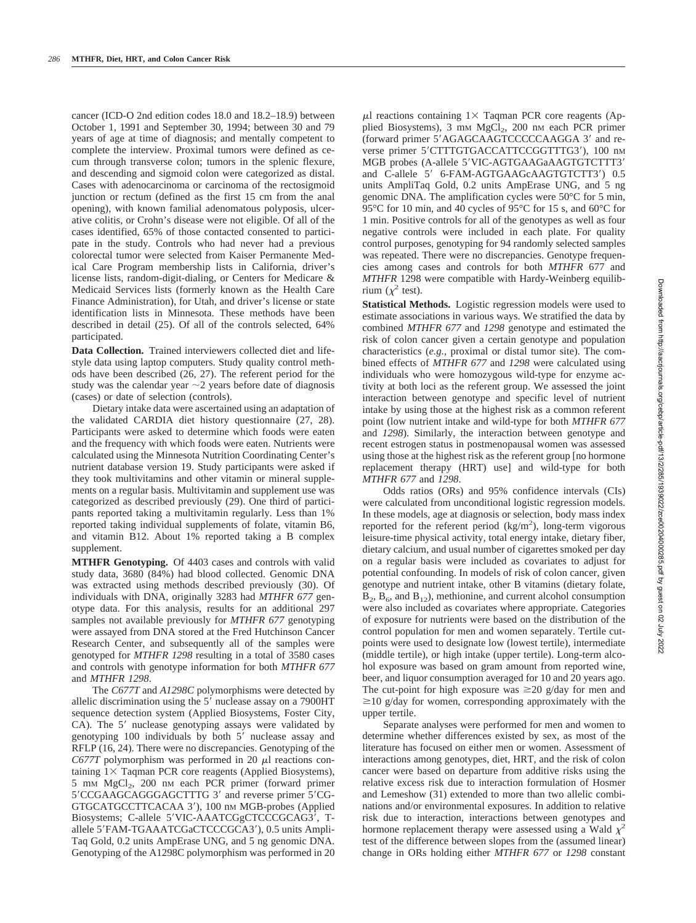cancer (ICD-O 2nd edition codes 18.0 and 18.2–18.9) between October 1, 1991 and September 30, 1994; between 30 and 79 years of age at time of diagnosis; and mentally competent to complete the interview. Proximal tumors were defined as cecum through transverse colon; tumors in the splenic flexure, and descending and sigmoid colon were categorized as distal. Cases with adenocarcinoma or carcinoma of the rectosigmoid junction or rectum (defined as the first 15 cm from the anal opening), with known familial adenomatous polyposis, ulcerative colitis, or Crohn's disease were not eligible. Of all of the cases identified, 65% of those contacted consented to participate in the study. Controls who had never had a previous colorectal tumor were selected from Kaiser Permanente Medical Care Program membership lists in California, driver's license lists, random-digit-dialing, or Centers for Medicare & Medicaid Services lists (formerly known as the Health Care Finance Administration), for Utah, and driver's license or state identification lists in Minnesota. These methods have been described in detail (25). Of all of the controls selected, 64% participated.

**Data Collection.** Trained interviewers collected diet and lifestyle data using laptop computers. Study quality control methods have been described (26, 27). The referent period for the study was the calendar year  $\sim$  2 years before date of diagnosis (cases) or date of selection (controls).

Dietary intake data were ascertained using an adaptation of the validated CARDIA diet history questionnaire (27, 28). Participants were asked to determine which foods were eaten and the frequency with which foods were eaten. Nutrients were calculated using the Minnesota Nutrition Coordinating Center's nutrient database version 19. Study participants were asked if they took multivitamins and other vitamin or mineral supplements on a regular basis. Multivitamin and supplement use was categorized as described previously (29). One third of participants reported taking a multivitamin regularly. Less than 1% reported taking individual supplements of folate, vitamin B6, and vitamin B12. About 1% reported taking a B complex supplement.

**MTHFR Genotyping.** Of 4403 cases and controls with valid study data, 3680 (84%) had blood collected. Genomic DNA was extracted using methods described previously (30). Of individuals with DNA, originally 3283 had *MTHFR 677* genotype data. For this analysis, results for an additional 297 samples not available previously for *MTHFR 677* genotyping were assayed from DNA stored at the Fred Hutchinson Cancer Research Center, and subsequently all of the samples were genotyped for *MTHFR 1298* resulting in a total of 3580 cases and controls with genotype information for both *MTHFR 677* and *MTHFR 1298*.

The *C677T* and *A1298C* polymorphisms were detected by allelic discrimination using the 5' nuclease assay on a 7900HT sequence detection system (Applied Biosystems, Foster City, CA). The 5' nuclease genotyping assays were validated by genotyping 100 individuals by both 5' nuclease assay and RFLP (16, 24). There were no discrepancies. Genotyping of the *C677T* polymorphism was performed in 20  $\mu$ I reactions containing  $1 \times$  Taqman PCR core reagents (Applied Biosystems), 5 mm MgCl<sub>2</sub>, 200 nm each PCR primer (forward primer 5'CCGAAGCAGGGAGCTTTG 3' and reverse primer 5'CG-GTGCATGCCTTCACAA 3'), 100 nm MGB-probes (Applied Biosystems; C-allele 5'VIC-AAATCGgCTCCCGCAG3', Tallele 5'FAM-TGAAATCGaCTCCCGCA3'), 0.5 units Ampli-Taq Gold, 0.2 units AmpErase UNG, and 5 ng genomic DNA. Genotyping of the A1298C polymorphism was performed in 20

 $\mu$ l reactions containing 1  $\times$  Taqman PCR core reagents (Applied Biosystems), 3 mm MgCl<sub>2</sub>, 200 nm each PCR primer (forward primer 5'AGAGCAAGTCCCCCAAGGA 3' and reverse primer 5'CTTTGTGACCATTCCGGTTTG3'), 100 nM MGB probes (A-allele 5'VIC-AGTGAAGaAAGTGTCTTT3' and C-allele 5' 6-FAM-AGTGAAGcAAGTGTCTT3') 0.5 units AmpliTaq Gold, 0.2 units AmpErase UNG, and 5 ng genomic DNA. The amplification cycles were 50°C for 5 min, 95 °C for 10 min, and 40 cycles of 95 °C for 15 s, and 60 °C for 1 min. Positive controls for all of the genotypes as well as four negative controls were included in each plate. For quality control purposes, genotyping for 94 randomly selected samples was repeated. There were no discrepancies. Genotype frequencies among cases and controls for both *MTHFR* 677 and *MTHFR* 1298 were compatible with Hardy-Weinberg equilibrium  $(\chi^2 \text{ test})$ .

**Statistical Methods.** Logistic regression models were used to estimate associations in various ways. We stratified the data by combined *MTHFR 677* and *1298* genotype and estimated the risk of colon cancer given a certain genotype and population characteristics (*e.g.,* proximal or distal tumor site). The combined effects of *MTHFR 677* and *1298* were calculated using individuals who were homozygous wild-type for enzyme activity at both loci as the referent group. We assessed the joint interaction between genotype and specific level of nutrient intake by using those at the highest risk as a common referent point (low nutrient intake and wild-type for both *MTHFR 677* and *1298*). Similarly, the interaction between genotype and recent estrogen status in postmenopausal women was assessed using those at the highest risk as the referent group [no hormone replacement therapy (HRT) use] and wild-type for both *MTHFR 677* and *1298*.

Odds ratios (ORs) and 95% confidence intervals (CIs) were calculated from unconditional logistic regression models. In these models, age at diagnosis or selection, body mass index reported for the referent period  $(kg/m<sup>2</sup>)$ , long-term vigorous leisure-time physical activity, total energy intake, dietary fiber, dietary calcium, and usual number of cigarettes smoked per day on a regular basis were included as covariates to adjust for potential confounding. In models of risk of colon cancer, given genotype and nutrient intake, other B vitamins (dietary folate,  $B_2$ ,  $B_6$ , and  $B_{12}$ ), methionine, and current alcohol consumption were also included as covariates where appropriate. Categories of exposure for nutrients were based on the distribution of the control population for men and women separately. Tertile cutpoints were used to designate low (lowest tertile), intermediate (middle tertile), or high intake (upper tertile). Long-term alcohol exposure was based on gram amount from reported wine, beer, and liquor consumption averaged for 10 and 20 years ago. The cut-point for high exposure was  $\geq 20$  g/day for men and  $\geq$ 10 g/day for women, corresponding approximately with the upper tertile.

Separate analyses were performed for men and women to determine whether differences existed by sex, as most of the literature has focused on either men or women. Assessment of interactions among genotypes, diet, HRT, and the risk of colon cancer were based on departure from additive risks using the relative excess risk due to interaction formulation of Hosmer and Lemeshow (31) extended to more than two allelic combinations and/or environmental exposures. In addition to relative risk due to interaction, interactions between genotypes and hormone replacement therapy were assessed using a Wald  $\chi^2$ test of the difference between slopes from the (assumed linear) change in ORs holding either *MTHFR 677* or *1298* constant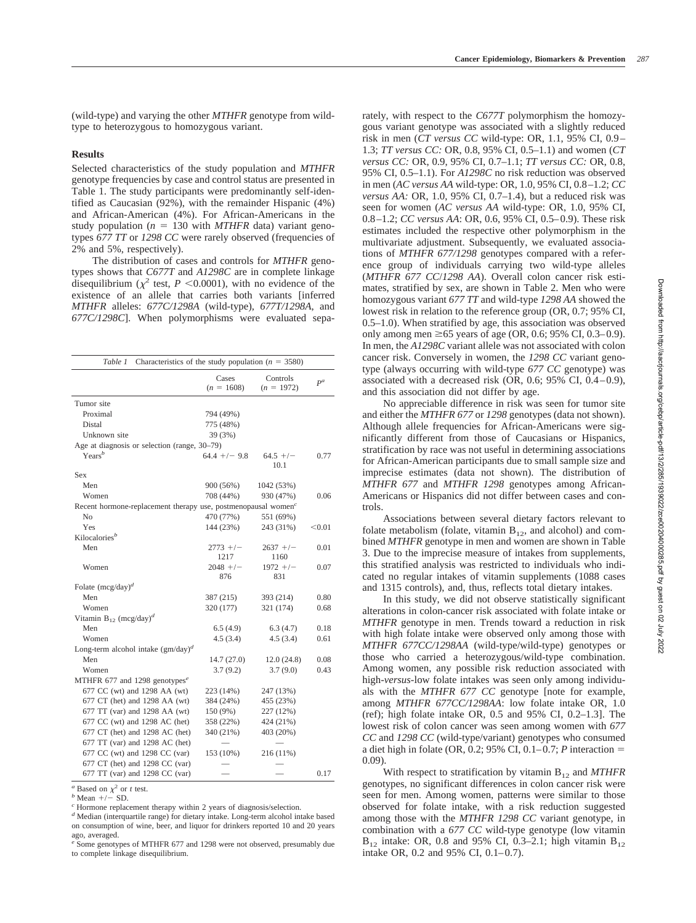(wild-type) and varying the other *MTHFR* genotype from wildtype to heterozygous to homozygous variant.

#### **Results**

Selected characteristics of the study population and *MTHFR* genotype frequencies by case and control status are presented in Table 1. The study participants were predominantly self-identified as Caucasian (92%), with the remainder Hispanic (4%) and African-American (4%). For African-Americans in the study population ( $n = 130$  with *MTHFR* data) variant genotypes *677 TT* or *1298 CC* were rarely observed (frequencies of 2% and 5%, respectively).

The distribution of cases and controls for *MTHFR* genotypes shows that *C677T* and *A1298C* are in complete linkage disequilibrium ( $\chi^2$  test, *P* <0.0001), with no evidence of the existence of an allele that carries both variants [inferred *MTHFR* alleles: *677C/1298A* (wild-type), *677T/1298A*, and *677C/1298C*]. When polymorphisms were evaluated sepa-

| Characteristics of the study population ( $n = 3580$ )<br>Table 1         |                       |                          |        |  |  |  |  |  |  |  |
|---------------------------------------------------------------------------|-----------------------|--------------------------|--------|--|--|--|--|--|--|--|
|                                                                           | Cases<br>$(n = 1608)$ | Controls<br>$(n = 1972)$ | $P^a$  |  |  |  |  |  |  |  |
| Tumor site                                                                |                       |                          |        |  |  |  |  |  |  |  |
| Proximal                                                                  | 794 (49%)             |                          |        |  |  |  |  |  |  |  |
| Distal                                                                    | 775 (48%)             |                          |        |  |  |  |  |  |  |  |
| Unknown site                                                              | 39 (3%)               |                          |        |  |  |  |  |  |  |  |
| Age at diagnosis or selection (range, 30–79)                              |                       |                          |        |  |  |  |  |  |  |  |
| $\text{Years}^b$                                                          | $64.4$ +/- 9.8        | $64.5$ +/-<br>10.1       | 0.77   |  |  |  |  |  |  |  |
| Sex                                                                       |                       |                          |        |  |  |  |  |  |  |  |
| Men                                                                       | 900 (56%)             | 1042 (53%)               |        |  |  |  |  |  |  |  |
| Women                                                                     | 708 (44%)             | 930 (47%)                | 0.06   |  |  |  |  |  |  |  |
| Recent hormone-replacement therapy use, postmenopausal women <sup>c</sup> |                       |                          |        |  |  |  |  |  |  |  |
| N <sub>o</sub>                                                            | 470 (77%)             | 551 (69%)                |        |  |  |  |  |  |  |  |
| Yes                                                                       | 144 (23%)             | 243 (31%)                | < 0.01 |  |  |  |  |  |  |  |
| Kilocalories <sup>b</sup>                                                 |                       |                          |        |  |  |  |  |  |  |  |
| Men                                                                       | $2773 + (-$           | $2637 +/-$               | 0.01   |  |  |  |  |  |  |  |
|                                                                           | 1217                  | 1160                     |        |  |  |  |  |  |  |  |
| Women                                                                     | $2048$ +/-            | $1972 + / -$             | 0.07   |  |  |  |  |  |  |  |
|                                                                           | 876                   | 831                      |        |  |  |  |  |  |  |  |
| Folate $(mcg/day)^d$                                                      |                       |                          |        |  |  |  |  |  |  |  |
| Men                                                                       | 387 (215)             | 393 (214)                | 0.80   |  |  |  |  |  |  |  |
| Women                                                                     | 320 (177)             | 321 (174)                | 0.68   |  |  |  |  |  |  |  |
| Vitamin $B_{12}$ (mcg/day) <sup>d</sup>                                   |                       |                          |        |  |  |  |  |  |  |  |
| Men                                                                       | 6.5(4.9)              | 6.3(4.7)                 | 0.18   |  |  |  |  |  |  |  |
| Women                                                                     | 4.5(3.4)              | 4.5(3.4)                 | 0.61   |  |  |  |  |  |  |  |
| Long-term alcohol intake $(gm/day)^d$                                     |                       |                          |        |  |  |  |  |  |  |  |
| Men                                                                       | 14.7(27.0)            | 12.0(24.8)               | 0.08   |  |  |  |  |  |  |  |
| Women                                                                     | 3.7(9.2)              | 3.7(9.0)                 | 0.43   |  |  |  |  |  |  |  |
| MTHFR 677 and 1298 genotypes <sup>e</sup>                                 |                       |                          |        |  |  |  |  |  |  |  |
| 677 CC (wt) and 1298 AA (wt)                                              | 223 (14%)             | 247 (13%)                |        |  |  |  |  |  |  |  |
| 677 CT (het) and 1298 AA (wt)                                             | 384 (24%)             | 455 (23%)                |        |  |  |  |  |  |  |  |
| 677 TT (var) and 1298 AA (wt)                                             | 150 (9%)              | 227 (12%)                |        |  |  |  |  |  |  |  |
| 677 CC (wt) and 1298 AC (het)                                             | 358 (22%)             | 424 (21%)                |        |  |  |  |  |  |  |  |
| 677 CT (het) and 1298 AC (het)                                            | 340 (21%)             | 403 (20%)                |        |  |  |  |  |  |  |  |
| 677 TT (var) and 1298 AC (het)                                            |                       |                          |        |  |  |  |  |  |  |  |
| 677 CC (wt) and 1298 CC (var)                                             | 153 (10%)             | 216 (11%)                |        |  |  |  |  |  |  |  |
| 677 CT (het) and 1298 CC (var)                                            |                       |                          |        |  |  |  |  |  |  |  |
| 677 TT (var) and 1298 CC (var)                                            |                       |                          | 0.17   |  |  |  |  |  |  |  |

 $a^a$  Based on  $\chi^2$  or *t* test.<br> *b* Mean +/- SD.

*<sup>d</sup>* Median (interquartile range) for dietary intake. Long-term alcohol intake based on consumption of wine, beer, and liquor for drinkers reported 10 and 20 years ago, averaged.

rately, with respect to the *C677T* polymorphism the homozygous variant genotype was associated with a slightly reduced risk in men (*CT versus CC* wild-type: OR, 1.1, 95% CI, 0.9– 1.3; *TT versus CC:* OR, 0.8, 95% CI, 0.5–1.1) and women (*CT versus CC:* OR, 0.9, 95% CI, 0.7–1.1; *TT versus CC:* OR, 0.8, 95% CI, 0.5–1.1). For *A1298C* no risk reduction was observed in men (*AC versus AA* wild-type: OR, 1.0, 95% CI, 0.8–1.2; *CC versus AA:* OR, 1.0, 95% CI, 0.7–1.4), but a reduced risk was seen for women (*AC versus AA* wild-type: OR, 1.0, 95% CI, 0.8–1.2; *CC versus AA*: OR, 0.6, 95% CI, 0.5–0.9). These risk estimates included the respective other polymorphism in the multivariate adjustment. Subsequently, we evaluated associations of *MTHFR 677/1298* genotypes compared with a reference group of individuals carrying two wild-type alleles (*MTHFR 677 CC*/*1298 AA*). Overall colon cancer risk estimates, stratified by sex, are shown in Table 2. Men who were homozygous variant *677 TT* and wild-type *1298 AA* showed the lowest risk in relation to the reference group (OR, 0.7; 95% CI, 0.5–1.0). When stratified by age, this association was observed only among men  $\geq 65$  years of age (OR, 0.6; 95% CI, 0.3–0.9). In men, the *A1298C* variant allele was not associated with colon cancer risk. Conversely in women, the *1298 CC* variant genotype (always occurring with wild-type *677 CC* genotype) was associated with a decreased risk (OR, 0.6; 95% CI, 0.4–0.9), and this association did not differ by age.

No appreciable difference in risk was seen for tumor site and either the *MTHFR 677* or *1298* genotypes (data not shown). Although allele frequencies for African-Americans were significantly different from those of Caucasians or Hispanics, stratification by race was not useful in determining associations for African-American participants due to small sample size and imprecise estimates (data not shown). The distribution of *MTHFR 677* and *MTHFR 1298* genotypes among African-Americans or Hispanics did not differ between cases and controls.

Associations between several dietary factors relevant to folate metabolism (folate, vitamin  $B_{12}$ , and alcohol) and combined *MTHFR* genotype in men and women are shown in Table 3. Due to the imprecise measure of intakes from supplements, this stratified analysis was restricted to individuals who indicated no regular intakes of vitamin supplements (1088 cases and 1315 controls), and, thus, reflects total dietary intakes.

In this study, we did not observe statistically significant alterations in colon-cancer risk associated with folate intake or *MTHFR* genotype in men. Trends toward a reduction in risk with high folate intake were observed only among those with *MTHFR 677CC/1298AA* (wild-type/wild-type) genotypes or those who carried a heterozygous/wild-type combination. Among women, any possible risk reduction associated with high-*versus*-low folate intakes was seen only among individuals with the *MTHFR 677 CC* genotype [note for example, among *MTHFR 677CC/1298AA*: low folate intake OR, 1.0 (ref); high folate intake OR, 0.5 and 95% CI, 0.2–1.3]. The lowest risk of colon cancer was seen among women with *677 CC* and *1298 CC* (wild-type/variant) genotypes who consumed a diet high in folate (OR, 0.2; 95% CI, 0.1–0.7; *P* interaction 0.09).

With respect to stratification by vitamin B<sub>12</sub> and *MTHFR* genotypes, no significant differences in colon cancer risk were seen for men. Among women, patterns were similar to those observed for folate intake, with a risk reduction suggested among those with the *MTHFR 1298 CC* variant genotype, in combination with a *677 CC* wild-type genotype (low vitamin  $B_{12}$  intake: OR, 0.8 and 95% CI, 0.3–2.1; high vitamin  $B_{12}$ intake OR, 0.2 and 95% CI, 0.1–0.7).

<sup>&</sup>lt;sup>c</sup> Hormone replacement therapy within 2 years of diagnosis/selection.

*<sup>e</sup>* Some genotypes of MTHFR 677 and 1298 were not observed, presumably due to complete linkage disequilibrium.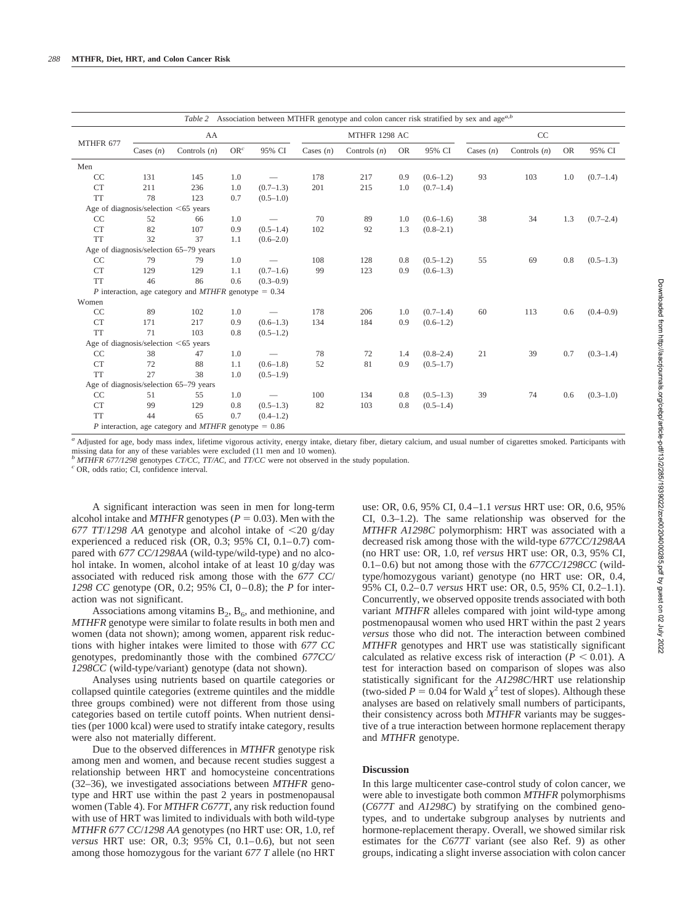| Association between MTHFR genotype and colon cancer risk stratified by sex and age <sup>a,b</sup><br>Table 2 |                                            |                                                         |                 |                 |               |                |           |               |             |                |           |               |
|--------------------------------------------------------------------------------------------------------------|--------------------------------------------|---------------------------------------------------------|-----------------|-----------------|---------------|----------------|-----------|---------------|-------------|----------------|-----------|---------------|
| MTHFR 677                                                                                                    |                                            | AA                                                      |                 |                 | MTHFR 1298 AC |                |           | CC            |             |                |           |               |
|                                                                                                              | Cases $(n)$                                | Controls $(n)$                                          | OR <sup>c</sup> | 95% CI          | Cases $(n)$   | Controls $(n)$ | <b>OR</b> | 95% CI        | Cases $(n)$ | Controls $(n)$ | <b>OR</b> | 95% CI        |
| Men                                                                                                          |                                            |                                                         |                 |                 |               |                |           |               |             |                |           |               |
| CC                                                                                                           | 131                                        | 145                                                     | 1.0             |                 | 178           | 217            | 0.9       | $(0.6-1.2)$   | 93          | 103            | 1.0       | $(0.7-1.4)$   |
| <b>CT</b>                                                                                                    | 211                                        | 236                                                     | 1.0             | $(0.7-1.3)$     | 201           | 215            | 1.0       | $(0.7-1.4)$   |             |                |           |               |
| <b>TT</b>                                                                                                    | 78                                         | 123                                                     | 0.7             | $(0.5-1.0)$     |               |                |           |               |             |                |           |               |
|                                                                                                              | Age of diagnosis/selection $\leq 65$ years |                                                         |                 |                 |               |                |           |               |             |                |           |               |
| CC                                                                                                           | 52                                         | 66                                                      | 1.0             |                 | 70            | 89             | 1.0       | $(0.6-1.6)$   | 38          | 34             | 1.3       | (0.7–2.4)     |
| <b>CT</b>                                                                                                    | 82                                         | 107                                                     | 0.9             | $(0.5-1.4)$     | 102           | 92             | 1.3       | $(0.8 - 2.1)$ |             |                |           |               |
| <b>TT</b>                                                                                                    | 32                                         | 37                                                      | 1.1             | $(0.6 - 2.0)$   |               |                |           |               |             |                |           |               |
|                                                                                                              |                                            | Age of diagnosis/selection 65-79 years                  |                 |                 |               |                |           |               |             |                |           |               |
| CC                                                                                                           | 79                                         | 79                                                      | 1.0             | $\qquad \qquad$ | 108           | 128            | 0.8       | $(0.5-1.2)$   | 55          | 69             | 0.8       | $(0.5-1.3)$   |
| <b>CT</b>                                                                                                    | 129                                        | 129                                                     | 1.1             | $(0.7-1.6)$     | 99            | 123            | 0.9       | $(0.6-1.3)$   |             |                |           |               |
| <b>TT</b>                                                                                                    | 46                                         | 86                                                      | 0.6             | $(0.3 - 0.9)$   |               |                |           |               |             |                |           |               |
|                                                                                                              |                                            | P interaction, age category and $MTHFR$ genotype = 0.34 |                 |                 |               |                |           |               |             |                |           |               |
| Women                                                                                                        |                                            |                                                         |                 |                 |               |                |           |               |             |                |           |               |
| CC                                                                                                           | 89                                         | 102                                                     | 1.0             | $\qquad \qquad$ | 178           | 206            | 1.0       | $(0.7-1.4)$   | 60          | 113            | 0.6       | $(0.4 - 0.9)$ |
| <b>CT</b>                                                                                                    | 171                                        | 217                                                     | 0.9             | $(0.6-1.3)$     | 134           | 184            | 0.9       | $(0.6 - 1.2)$ |             |                |           |               |
| <b>TT</b>                                                                                                    | 71                                         | 103                                                     | 0.8             | $(0.5-1.2)$     |               |                |           |               |             |                |           |               |
|                                                                                                              | Age of diagnosis/selection $\leq 65$ years |                                                         |                 |                 |               |                |           |               |             |                |           |               |
| CC                                                                                                           | 38                                         | 47                                                      | 1.0             |                 | 78            | 72             | 1.4       | $(0.8 - 2.4)$ | 21          | 39             | 0.7       | $(0.3-1.4)$   |
| <b>CT</b>                                                                                                    | 72                                         | 88                                                      | 1.1             | $(0.6-1.8)$     | 52            | 81             | 0.9       | $(0.5 - 1.7)$ |             |                |           |               |
| <b>TT</b>                                                                                                    | 27                                         | 38                                                      | 1.0             | $(0.5-1.9)$     |               |                |           |               |             |                |           |               |
|                                                                                                              |                                            | Age of diagnosis/selection 65-79 years                  |                 |                 |               |                |           |               |             |                |           |               |
| CC                                                                                                           | 51                                         | 55                                                      | 1.0             |                 | 100           | 134            | 0.8       | $(0.5-1.3)$   | 39          | 74             | 0.6       | $(0.3-1.0)$   |
| <b>CT</b>                                                                                                    | 99                                         | 129                                                     | 0.8             | $(0.5-1.3)$     | 82            | 103            | 0.8       | $(0.5-1.4)$   |             |                |           |               |
| <b>TT</b>                                                                                                    | 44                                         | 65                                                      | 0.7             | $(0.4-1.2)$     |               |                |           |               |             |                |           |               |
|                                                                                                              |                                            | P interaction, age category and $MTHFR$ genotype = 0.86 |                 |                 |               |                |           |               |             |                |           |               |

<sup>a</sup> Adjusted for age, body mass index, lifetime vigorous activity, energy intake, dietary fiber, dietary calcium, and usual number of cigarettes smoked. Participants with missing data for any of these variables were excluded (11 men and 10 women).

*<sup>b</sup> MTHFR 677/1298* genotypes *CT/CC, TT/AC,* and *TT/CC* were not observed in the study population. *<sup>c</sup>* OR, odds ratio; CI, confidence interval.

A significant interaction was seen in men for long-term alcohol intake and  $MTHFR$  genotypes ( $P = 0.03$ ). Men with the *677 TT*/*1298 AA* genotype and alcohol intake of 20 g/day experienced a reduced risk (OR, 0.3; 95% CI, 0.1–0.7) compared with *677 CC/1298AA* (wild-type/wild-type) and no alcohol intake. In women, alcohol intake of at least 10 g/day was associated with reduced risk among those with the *677 CC*/ *1298 CC* genotype (OR, 0.2; 95% CI, 0–0.8); the *P* for interaction was not significant.

Associations among vitamins  $B_2$ ,  $B_6$ , and methionine, and *MTHFR* genotype were similar to folate results in both men and women (data not shown); among women, apparent risk reductions with higher intakes were limited to those with *677 CC* genotypes, predominantly those with the combined *677CC/ 1298CC* (wild-type/variant) genotype (data not shown).

Analyses using nutrients based on quartile categories or collapsed quintile categories (extreme quintiles and the middle three groups combined) were not different from those using categories based on tertile cutoff points. When nutrient densities (per 1000 kcal) were used to stratify intake category, results were also not materially different.

Due to the observed differences in *MTHFR* genotype risk among men and women, and because recent studies suggest a relationship between HRT and homocysteine concentrations (32–36), we investigated associations between *MTHFR* genotype and HRT use within the past 2 years in postmenopausal women (Table 4). For *MTHFR C677T*, any risk reduction found with use of HRT was limited to individuals with both wild-type *MTHFR 677 CC*/*1298 AA* genotypes (no HRT use: OR, 1.0, ref *versus* HRT use: OR, 0.3; 95% CI, 0.1–0.6), but not seen among those homozygous for the variant *677 T* allele (no HRT

use: OR, 0.6, 95% CI, 0.4–1.1 *versus* HRT use: OR, 0.6, 95% CI, 0.3–1.2). The same relationship was observed for the *MTHFR A1298C* polymorphism: HRT was associated with a decreased risk among those with the wild-type *677CC/1298AA* (no HRT use: OR, 1.0, ref *versus* HRT use: OR, 0.3, 95% CI, 0.1–0.6) but not among those with the *677CC/1298CC* (wildtype/homozygous variant) genotype (no HRT use: OR, 0.4, 95% CI, 0.2–0.7 *versus* HRT use: OR, 0.5, 95% CI, 0.2–1.1). Concurrently, we observed opposite trends associated with both variant *MTHFR* alleles compared with joint wild-type among postmenopausal women who used HRT within the past 2 years *versus* those who did not. The interaction between combined *MTHFR* genotypes and HRT use was statistically significant calculated as relative excess risk of interaction ( $P < 0.01$ ). A test for interaction based on comparison of slopes was also statistically significant for the *A1298C*/HRT use relationship (two-sided  $P = 0.04$  for Wald  $\chi^2$  test of slopes). Although these analyses are based on relatively small numbers of participants, their consistency across both *MTHFR* variants may be suggestive of a true interaction between hormone replacement therapy and *MTHFR* genotype.

#### **Discussion**

In this large multicenter case-control study of colon cancer, we were able to investigate both common *MTHFR* polymorphisms (*C677T* and *A1298C*) by stratifying on the combined genotypes, and to undertake subgroup analyses by nutrients and hormone-replacement therapy. Overall, we showed similar risk estimates for the *C677T* variant (see also Ref. 9) as other groups, indicating a slight inverse association with colon cancer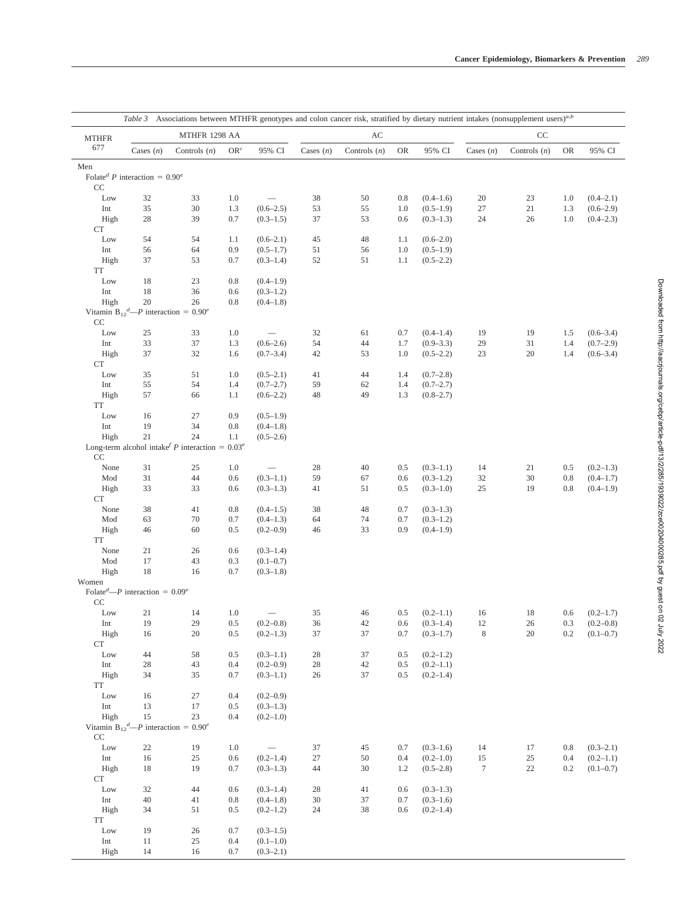|              |                                                                |                                                              |                 |                              | Table 3 Associations between MTHFR genotypes and colon cancer risk, stratified by dietary nutrient intakes (nonsupplement users) <sup>a,b</sup> |                |            |                                |             |                |            |                              |  |  |
|--------------|----------------------------------------------------------------|--------------------------------------------------------------|-----------------|------------------------------|-------------------------------------------------------------------------------------------------------------------------------------------------|----------------|------------|--------------------------------|-------------|----------------|------------|------------------------------|--|--|
| <b>MTHFR</b> |                                                                | MTHFR 1298 AA                                                |                 |                              |                                                                                                                                                 | AC             |            |                                |             | CC             |            |                              |  |  |
| 677          | Cases $(n)$                                                    | Controls $(n)$                                               | OR <sup>c</sup> | 95% CI                       | Cases $(n)$                                                                                                                                     | Controls $(n)$ | OR         | 95% CI                         | Cases $(n)$ | Controls $(n)$ | OR         | 95% CI                       |  |  |
| Men          |                                                                |                                                              |                 |                              |                                                                                                                                                 |                |            |                                |             |                |            |                              |  |  |
| CC           | Folate <sup>d</sup> P interaction = $0.90^e$                   |                                                              |                 |                              |                                                                                                                                                 |                |            |                                |             |                |            |                              |  |  |
| Low          | 32                                                             | 33                                                           | 1.0             |                              | 38                                                                                                                                              | 50             | 0.8        | $(0.4 - 1.6)$                  | 20          | 23             | 1.0        | $(0.4 - 2.1)$                |  |  |
| Int          | 35                                                             | 30                                                           | 1.3             | $(0.6 - 2.5)$                | 53                                                                                                                                              | 55             | 1.0        | $(0.5-1.9)$                    | 27          | 21             | 1.3        | $(0.6-2.9)$                  |  |  |
| High         | 28                                                             | 39                                                           | 0.7             | $(0.3-1.5)$                  | 37                                                                                                                                              | 53             | 0.6        | $(0.3-1.3)$                    | 24          | 26             | 1.0        | $(0.4 - 2.3)$                |  |  |
| <b>CT</b>    |                                                                |                                                              |                 |                              |                                                                                                                                                 |                |            |                                |             |                |            |                              |  |  |
| Low          | 54                                                             | 54                                                           | 1.1             | $(0.6 - 2.1)$                | 45                                                                                                                                              | 48             | 1.1        | $(0.6-2.0)$                    |             |                |            |                              |  |  |
| Int          | 56                                                             | 64                                                           | 0.9             | $(0.5-1.7)$                  | 51                                                                                                                                              | 56             | 1.0        | $(0.5-1.9)$                    |             |                |            |                              |  |  |
| High         | 37                                                             | 53                                                           | 0.7             | $(0.3-1.4)$                  | 52                                                                                                                                              | 51             | 1.1        | $(0.5-2.2)$                    |             |                |            |                              |  |  |
| TT           |                                                                |                                                              |                 |                              |                                                                                                                                                 |                |            |                                |             |                |            |                              |  |  |
| Low          | 18                                                             | 23                                                           | 0.8             | $(0.4 - 1.9)$                |                                                                                                                                                 |                |            |                                |             |                |            |                              |  |  |
| Int<br>High  | 18<br>$20\,$                                                   | 36<br>26                                                     | 0.6<br>0.8      | $(0.3-1.2)$                  |                                                                                                                                                 |                |            |                                |             |                |            |                              |  |  |
|              | Vitamin B <sub>12</sub> <sup>d</sup> —P interaction = $0.90^e$ |                                                              |                 | $(0.4 - 1.8)$                |                                                                                                                                                 |                |            |                                |             |                |            |                              |  |  |
| CC           |                                                                |                                                              |                 |                              |                                                                                                                                                 |                |            |                                |             |                |            |                              |  |  |
| Low          | 25                                                             | 33                                                           | 1.0             |                              | 32                                                                                                                                              | 61             | 0.7        | $(0.4 - 1.4)$                  | 19          | 19             | 1.5        | $(0.6 - 3.4)$                |  |  |
| Int          | 33                                                             | 37                                                           | 1.3             | $(0.6 - 2.6)$                | 54                                                                                                                                              | 44             | 1.7        | $(0.9 - 3.3)$                  | 29          | 31             | 1.4        | $(0.7-2.9)$                  |  |  |
| High         | 37                                                             | 32                                                           | 1.6             | (0.7–3.4)                    | 42                                                                                                                                              | 53             | 1.0        | $(0.5-2.2)$                    | 23          | 20             | 1.4        | $(0.6 - 3.4)$                |  |  |
| <b>CT</b>    |                                                                |                                                              |                 |                              |                                                                                                                                                 |                |            |                                |             |                |            |                              |  |  |
| Low          | 35                                                             | 51                                                           | 1.0             | $(0.5-2.1)$                  | 41                                                                                                                                              | 44             | 1.4        | (0.7–2.8)                      |             |                |            |                              |  |  |
| Int          | 55                                                             | 54                                                           | 1.4             | $(0.7 - 2.7)$                | 59                                                                                                                                              | 62             | 1.4        | (0.7–2.7)                      |             |                |            |                              |  |  |
| High         | 57                                                             | 66                                                           | 1.1             | $(0.6-2.2)$                  | 48                                                                                                                                              | 49             | 1.3        | $(0.8 - 2.7)$                  |             |                |            |                              |  |  |
| TT           |                                                                |                                                              |                 |                              |                                                                                                                                                 |                |            |                                |             |                |            |                              |  |  |
| Low          | 16                                                             | 27                                                           | 0.9             | $(0.5-1.9)$                  |                                                                                                                                                 |                |            |                                |             |                |            |                              |  |  |
| Int          | 19                                                             | 34                                                           | 0.8             | $(0.4 - 1.8)$                |                                                                                                                                                 |                |            |                                |             |                |            |                              |  |  |
| High         | 21                                                             | 24                                                           | 1.1             | $(0.5-2.6)$                  |                                                                                                                                                 |                |            |                                |             |                |            |                              |  |  |
|              |                                                                | Long-term alcohol intake $P$ interaction = 0.03 <sup>e</sup> |                 |                              |                                                                                                                                                 |                |            |                                |             |                |            |                              |  |  |
| CC           |                                                                |                                                              |                 |                              |                                                                                                                                                 |                |            |                                |             |                |            |                              |  |  |
| None<br>Mod  | 31                                                             | 25<br>$44\,$                                                 | 1.0             | $(0.3 - 1.1)$                | 28                                                                                                                                              | 40             | 0.5<br>0.6 | $(0.3-1.1)$                    | 14          | 21             | 0.5<br>0.8 | $(0.2-1.3)$<br>$(0.4 - 1.7)$ |  |  |
| High         | 31<br>33                                                       | 33                                                           | 0.6<br>0.6      | $(0.3-1.3)$                  | 59<br>41                                                                                                                                        | 67<br>51       | 0.5        | $(0.3-1.2)$<br>$(0.3-1.0)$     | 32<br>25    | 30<br>19       | 0.8        | $(0.4 - 1.9)$                |  |  |
| <b>CT</b>    |                                                                |                                                              |                 |                              |                                                                                                                                                 |                |            |                                |             |                |            |                              |  |  |
| None         | 38                                                             | 41                                                           | 0.8             | $(0.4 - 1.5)$                | 38                                                                                                                                              | 48             | 0.7        | $(0.3-1.3)$                    |             |                |            |                              |  |  |
| Mod          | 63                                                             | 70                                                           | 0.7             | $(0.4-1.3)$                  | 64                                                                                                                                              | 74             | 0.7        | $(0.3-1.2)$                    |             |                |            |                              |  |  |
| High         | 46                                                             | 60                                                           | 0.5             | $(0.2 - 0.9)$                | 46                                                                                                                                              | 33             | 0.9        | $(0.4 - 1.9)$                  |             |                |            |                              |  |  |
| TT           |                                                                |                                                              |                 |                              |                                                                                                                                                 |                |            |                                |             |                |            |                              |  |  |
| None         | 21                                                             | 26                                                           | 0.6             | $(0.3 - 1.4)$                |                                                                                                                                                 |                |            |                                |             |                |            |                              |  |  |
| Mod          | 17                                                             | 43                                                           | 0.3             | $(0.1 - 0.7)$                |                                                                                                                                                 |                |            |                                |             |                |            |                              |  |  |
| High         | 18                                                             | 16                                                           | 0.7             | $(0.3-1.8)$                  |                                                                                                                                                 |                |            |                                |             |                |            |                              |  |  |
| Women        | Folate <sup>d</sup> —P interaction = $0.09^e$                  |                                                              |                 |                              |                                                                                                                                                 |                |            |                                |             |                |            |                              |  |  |
| CC           |                                                                |                                                              |                 |                              |                                                                                                                                                 |                |            |                                |             |                |            |                              |  |  |
| Low          | 21                                                             | 14                                                           | 1.0             |                              | 35                                                                                                                                              | 46             | 0.5        | $(0.2 - 1.1)$                  | 16          | 18             | 0.6        | (0.2–1.7)                    |  |  |
| Int          | 19                                                             | 29                                                           | 0.5             | $(0.2 - 0.8)$                | 36                                                                                                                                              | 42             | 0.6        | $(0.3-1.4)$                    | 12          | 26             | 0.3        | $(0.2 - 0.8)$                |  |  |
| High         | 16                                                             | 20                                                           | 0.5             | $(0.2-1.3)$                  | 37                                                                                                                                              | 37             | 0.7        | $(0.3-1.7)$                    | 8           | 20             | 0.2        | $(0.1 - 0.7)$                |  |  |
| CT           |                                                                |                                                              |                 |                              |                                                                                                                                                 |                |            |                                |             |                |            |                              |  |  |
| Low          | 44<br>$28\,$                                                   | 58<br>43                                                     | 0.5<br>0.4      | $(0.3-1.1)$<br>$(0.2 - 0.9)$ | 28                                                                                                                                              | 37             | 0.5        | $(0.2 - 1.2)$                  |             |                |            |                              |  |  |
| Int<br>High  | 34                                                             | 35                                                           | 0.7             | $(0.3-1.1)$                  | 28<br>26                                                                                                                                        | 42<br>37       | 0.5<br>0.5 | $(0.2 - 1.1)$<br>$(0.2 - 1.4)$ |             |                |            |                              |  |  |
| TT           |                                                                |                                                              |                 |                              |                                                                                                                                                 |                |            |                                |             |                |            |                              |  |  |
| Low          | 16                                                             | 27                                                           | 0.4             | $(0.2 - 0.9)$                |                                                                                                                                                 |                |            |                                |             |                |            |                              |  |  |
| Int          | 13                                                             | 17                                                           | 0.5             | $(0.3-1.3)$                  |                                                                                                                                                 |                |            |                                |             |                |            |                              |  |  |
| High         | 15                                                             | 23                                                           | 0.4             | $(0.2-1.0)$                  |                                                                                                                                                 |                |            |                                |             |                |            |                              |  |  |
|              | Vitamin B <sub>12</sub> <sup>d</sup> —P interaction = $0.90^e$ |                                                              |                 |                              |                                                                                                                                                 |                |            |                                |             |                |            |                              |  |  |
| CC           |                                                                |                                                              |                 |                              |                                                                                                                                                 |                |            |                                |             |                |            |                              |  |  |
| Low          | 22                                                             | 19                                                           | 1.0             |                              | 37                                                                                                                                              | 45             | 0.7        | $(0.3-1.6)$                    | 14          | 17             | 0.8        | $(0.3 - 2.1)$                |  |  |
| Int          | 16                                                             | 25                                                           | 0.6             | $(0.2 - 1.4)$                | 27                                                                                                                                              | 50             | 0.4        | $(0.2 - 1.0)$                  | 15          | $25\,$         | $0.4\,$    | $(0.2 - 1.1)$                |  |  |
| High         | 18                                                             | 19                                                           | 0.7             | $(0.3-1.3)$                  | 44                                                                                                                                              | 30             | 1.2        | $(0.5-2.8)$                    | $\tau$      | 22             | 0.2        | $(0.1 - 0.7)$                |  |  |
| CT           |                                                                |                                                              |                 |                              |                                                                                                                                                 |                |            |                                |             |                |            |                              |  |  |
| Low          | 32                                                             | 44                                                           | 0.6             | $(0.3-1.4)$                  | 28                                                                                                                                              | 41             | 0.6        | $(0.3-1.3)$                    |             |                |            |                              |  |  |
| Int          | 40                                                             | 41                                                           | 0.8             | $(0.4 - 1.8)$                | 30                                                                                                                                              | 37             | 0.7        | $(0.3-1.6)$                    |             |                |            |                              |  |  |
| High         | 34                                                             | 51                                                           | 0.5             | $(0.2-1.2)$                  | 24                                                                                                                                              | 38             | 0.6        | (0.2–1.4)                      |             |                |            |                              |  |  |
| TT           |                                                                |                                                              |                 |                              |                                                                                                                                                 |                |            |                                |             |                |            |                              |  |  |
| Low          | 19                                                             | 26                                                           | 0.7             | $(0.3-1.5)$                  |                                                                                                                                                 |                |            |                                |             |                |            |                              |  |  |
| Int<br>High  | 11<br>14                                                       | 25<br>16                                                     | 0.4<br>$0.7\,$  | $(0.1-1.0)$<br>$(0.3-2.1)$   |                                                                                                                                                 |                |            |                                |             |                |            |                              |  |  |
|              |                                                                |                                                              |                 |                              |                                                                                                                                                 |                |            |                                |             |                |            |                              |  |  |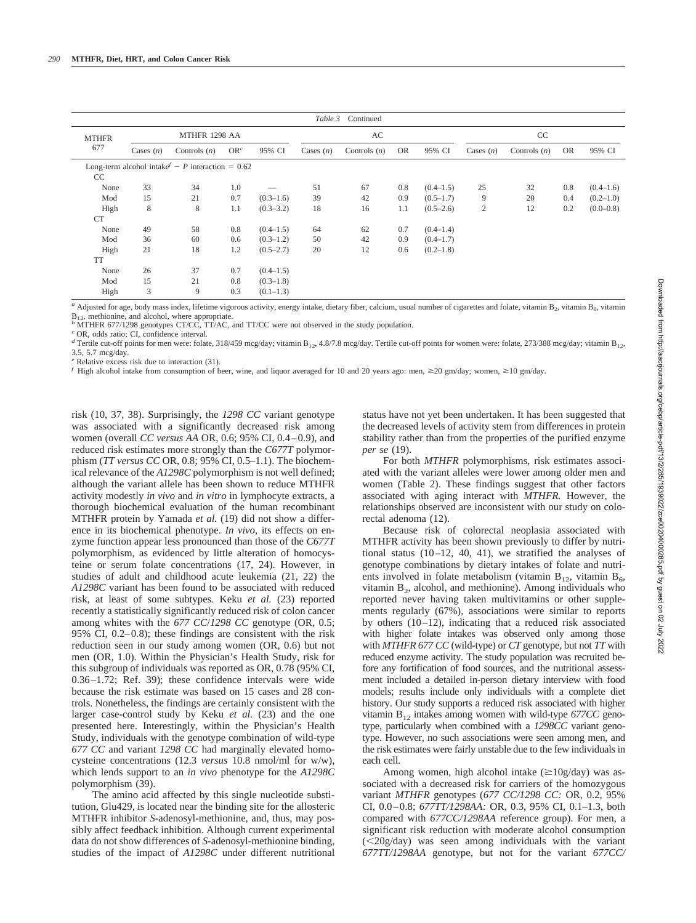| Table 3<br>Continued |             |                                                                           |                 |               |             |                |           |               |             |                |           |               |
|----------------------|-------------|---------------------------------------------------------------------------|-----------------|---------------|-------------|----------------|-----------|---------------|-------------|----------------|-----------|---------------|
| <b>MTHFR</b>         |             | MTHFR 1298 AA                                                             |                 |               | AC          |                |           | CC            |             |                |           |               |
| 677                  | Cases $(n)$ | Controls $(n)$                                                            | OR <sup>c</sup> | 95% CI        | Cases $(n)$ | Controls $(n)$ | <b>OR</b> | 95% CI        | Cases $(n)$ | Controls $(n)$ | <b>OR</b> | 95% CI        |
| CC                   |             | Long-term alcohol intake <sup><math>f - P</math></sup> interaction = 0.62 |                 |               |             |                |           |               |             |                |           |               |
| None                 | 33          | 34                                                                        | 1.0             |               | 51          | 67             | 0.8       | $(0.4 - 1.5)$ | 25          | 32             | 0.8       | $(0.4-1.6)$   |
| Mod                  | 15          | 21                                                                        | 0.7             | $(0.3-1.6)$   | 39          | 42             | 0.9       | $(0.5-1.7)$   | 9           | 20             | 0.4       | $(0.2-1.0)$   |
| High                 | 8           | 8                                                                         | 1.1             | $(0.3 - 3.2)$ | 18          | 16             | 1.1       | $(0.5-2.6)$   | 2           | 12             | 0.2       | $(0.0 - 0.8)$ |
| <b>CT</b>            |             |                                                                           |                 |               |             |                |           |               |             |                |           |               |
| None                 | 49          | 58                                                                        | 0.8             | $(0.4-1.5)$   | 64          | 62             | 0.7       | $(0.4 - 1.4)$ |             |                |           |               |
| Mod                  | 36          | 60                                                                        | 0.6             | $(0.3-1.2)$   | 50          | 42             | 0.9       | $(0.4 - 1.7)$ |             |                |           |               |
| High                 | 21          | 18                                                                        | 1.2             | $(0.5-2.7)$   | 20          | 12             | 0.6       | $(0.2 - 1.8)$ |             |                |           |               |
| <b>TT</b>            |             |                                                                           |                 |               |             |                |           |               |             |                |           |               |
| None                 | 26          | 37                                                                        | 0.7             | $(0.4-1.5)$   |             |                |           |               |             |                |           |               |
| Mod                  | 15          | 21                                                                        | 0.8             | $(0.3-1.8)$   |             |                |           |               |             |                |           |               |
| High                 | 3           | 9                                                                         | 0.3             | $(0.1-1.3)$   |             |                |           |               |             |                |           |               |

*a* Adjusted for age, body mass index, lifetime vigorous activity, energy intake, dietary fiber, calcium, usual number of cigarettes and folate, vitamin B<sub>2</sub>, vitamin B<sub>6</sub>, vitamin B<sub>6</sub>, vitamin B<sub>1</sub>, methionine, and alco

<sup>b</sup> MTHFR 677/1298 genotypes CT/CC, TT/AC, and TT/CC were not observed in the study population.

*<sup>c</sup>* OR, odds ratio; CI, confidence interval.

<sup>d</sup> Tertile cut-off points for men were: folate, 318/459 mcg/day; vitamin B<sub>12</sub>, 4.8/7.8 mcg/day. Tertile cut-off points for women were: folate, 273/388 mcg/day; vitamin B<sub>12</sub>, 3.5, 5.7 mcg/day.

*<sup>e</sup>* Relative excess risk due to interaction (31).

*f* High alcohol intake from consumption of beer, wine, and liquor averaged for 10 and 20 years ago: men,  $\geq$ 20 gm/day; women,  $\geq$ 10 gm/day.

risk (10, 37, 38). Surprisingly, the *1298 CC* variant genotype was associated with a significantly decreased risk among women (overall *CC versus AA* OR, 0.6; 95% CI, 0.4–0.9), and reduced risk estimates more strongly than the *C677T* polymorphism (*TT versus CC* OR, 0.8; 95% CI, 0.5–1.1). The biochemical relevance of the *A1298C* polymorphism is not well defined; although the variant allele has been shown to reduce MTHFR activity modestly *in vivo* and *in vitro* in lymphocyte extracts, a thorough biochemical evaluation of the human recombinant MTHFR protein by Yamada *et al.* (19) did not show a difference in its biochemical phenotype. *In vivo*, its effects on enzyme function appear less pronounced than those of the *C677T* polymorphism, as evidenced by little alteration of homocysteine or serum folate concentrations (17, 24). However, in studies of adult and childhood acute leukemia (21, 22) the *A1298C* variant has been found to be associated with reduced risk, at least of some subtypes. Keku *et al.* (23) reported recently a statistically significantly reduced risk of colon cancer among whites with the *677 CC*/*1298 CC* genotype (OR, 0.5; 95% CI, 0.2–0.8); these findings are consistent with the risk reduction seen in our study among women (OR, 0.6) but not men (OR, 1.0). Within the Physician's Health Study, risk for this subgroup of individuals was reported as OR, 0.78 (95% CI, 0.36–1.72; Ref. 39); these confidence intervals were wide because the risk estimate was based on 15 cases and 28 controls. Nonetheless, the findings are certainly consistent with the larger case-control study by Keku *et al.* (23) and the one presented here. Interestingly, within the Physician's Health Study, individuals with the genotype combination of wild-type *677 CC* and variant *1298 CC* had marginally elevated homocysteine concentrations (12.3 *versus* 10.8 nmol/ml for w/w), which lends support to an *in vivo* phenotype for the *A1298C* polymorphism (39).

The amino acid affected by this single nucleotide substitution, Glu429, is located near the binding site for the allosteric MTHFR inhibitor *S*-adenosyl-methionine, and, thus, may possibly affect feedback inhibition. Although current experimental data do not show differences of *S*-adenosyl-methionine binding, studies of the impact of *A1298C* under different nutritional

status have not yet been undertaken. It has been suggested that the decreased levels of activity stem from differences in protein stability rather than from the properties of the purified enzyme *per se* (19).

For both *MTHFR* polymorphisms, risk estimates associated with the variant alleles were lower among older men and women (Table 2). These findings suggest that other factors associated with aging interact with *MTHFR.* However, the relationships observed are inconsistent with our study on colorectal adenoma (12).

Because risk of colorectal neoplasia associated with MTHFR activity has been shown previously to differ by nutritional status (10–12, 40, 41), we stratified the analyses of genotype combinations by dietary intakes of folate and nutrients involved in folate metabolism (vitamin  $B_{12}$ , vitamin  $B_6$ , vitamin  $B_2$ , alcohol, and methionine). Among individuals who reported never having taken multivitamins or other supplements regularly (67%), associations were similar to reports by others (10–12), indicating that a reduced risk associated with higher folate intakes was observed only among those with *MTHFR 677 CC* (wild-type) or *CT* genotype, but not *TT* with reduced enzyme activity. The study population was recruited before any fortification of food sources, and the nutritional assessment included a detailed in-person dietary interview with food models; results include only individuals with a complete diet history. Our study supports a reduced risk associated with higher vitamin  $B_{12}$  intakes among women with wild-type  $677CC$  genotype, particularly when combined with a *1298CC* variant genotype. However, no such associations were seen among men, and the risk estimates were fairly unstable due to the few individuals in each cell.

Among women, high alcohol intake  $(\geq 10g/day)$  was associated with a decreased risk for carriers of the homozygous variant *MTHFR* genotypes (*677 CC/1298 CC:* OR, 0.2, 95% CI, 0.0–0.8; *677TT/1298AA:* OR, 0.3, 95% CI, 0.1–1.3, both compared with *677CC/1298AA* reference group). For men, a significant risk reduction with moderate alcohol consumption (20g/day) was seen among individuals with the variant *677TT/1298AA* genotype, but not for the variant *677CC/*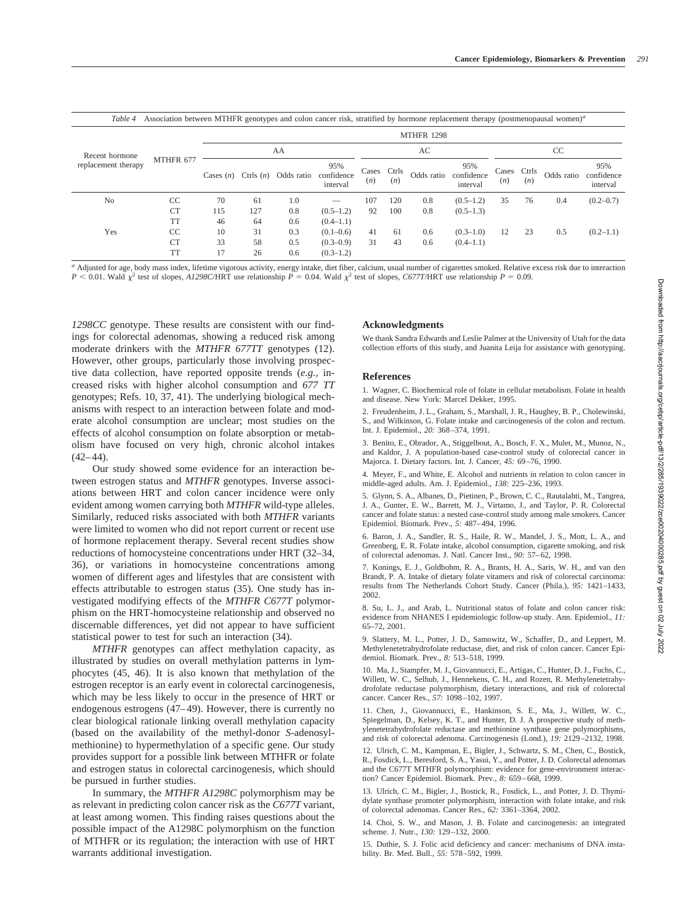| Table 4                               | Association between MTHFR genotypes and colon cancer risk, stratified by hormone replacement therapy (postmenopausal women) <sup>a</sup> |             |                   |            |                               |              |              |            |                               |               |              |            |                               |  |  |
|---------------------------------------|------------------------------------------------------------------------------------------------------------------------------------------|-------------|-------------------|------------|-------------------------------|--------------|--------------|------------|-------------------------------|---------------|--------------|------------|-------------------------------|--|--|
|                                       | MTHFR 677                                                                                                                                |             | <b>MTHFR 1298</b> |            |                               |              |              |            |                               |               |              |            |                               |  |  |
| Recent hormone<br>replacement therapy |                                                                                                                                          | AA          |                   |            |                               |              |              | AC         |                               | <sub>CC</sub> |              |            |                               |  |  |
|                                       |                                                                                                                                          | Cases $(n)$ | Ctrls $(n)$       | Odds ratio | 95%<br>confidence<br>interval | Cases<br>(n) | Ctrls<br>(n) | Odds ratio | 95%<br>confidence<br>interval | Cases<br>(n)  | Ctrls<br>(n) | Odds ratio | 95%<br>confidence<br>interval |  |  |
| N <sub>o</sub>                        | CC                                                                                                                                       | 70          | 61                | 1.0        |                               | 107          | 120          | 0.8        | $(0.5-1.2)$                   | 35            | 76           | 0.4        | $(0.2 - 0.7)$                 |  |  |
|                                       | <b>CT</b>                                                                                                                                | 115         | 127               | 0.8        | $(0.5-1.2)$                   | 92           | 100          | 0.8        | $(0.5-1.3)$                   |               |              |            |                               |  |  |
|                                       | TT                                                                                                                                       | 46          | 64                | 0.6        | $(0.4-1.1)$                   |              |              |            |                               |               |              |            |                               |  |  |
| Yes                                   | CC                                                                                                                                       | 10          | 31                | 0.3        | $(0.1 - 0.6)$                 | 41           | 61           | 0.6        | $(0.3-1.0)$                   | 12            | 23           | 0.5        | $(0.2-1.1)$                   |  |  |
|                                       | <b>CT</b>                                                                                                                                | 33          | 58                | 0.5        | $(0.3-0.9)$                   | 31           | 43           | 0.6        | $(0.4-1.1)$                   |               |              |            |                               |  |  |
|                                       | TT                                                                                                                                       | 17          | 26                | 0.6        | $(0.3-1.2)$                   |              |              |            |                               |               |              |            |                               |  |  |

*<sup>a</sup>* Adjusted for age, body mass index, lifetime vigorous activity, energy intake, diet fiber, calcium, usual number of cigarettes smoked. Relative excess risk due to interaction  $P < 0.01$ . Wald  $\chi^2$  test of slopes, *A1298C*/HRT use relationship  $P = 0.04$ . Wald  $\chi^2$  test of slopes, *C677T*/HRT use relationship  $P = 0.09$ .

*1298CC* genotype. These results are consistent with our findings for colorectal adenomas, showing a reduced risk among moderate drinkers with the *MTHFR 677TT* genotypes (12). However, other groups, particularly those involving prospective data collection, have reported opposite trends (*e.g.,* increased risks with higher alcohol consumption and *677 TT* genotypes; Refs. 10, 37, 41). The underlying biological mechanisms with respect to an interaction between folate and moderate alcohol consumption are unclear; most studies on the effects of alcohol consumption on folate absorption or metabolism have focused on very high, chronic alcohol intakes  $(42-44)$ .

Our study showed some evidence for an interaction between estrogen status and *MTHFR* genotypes. Inverse associations between HRT and colon cancer incidence were only evident among women carrying both *MTHFR* wild-type alleles. Similarly, reduced risks associated with both *MTHFR* variants were limited to women who did not report current or recent use of hormone replacement therapy. Several recent studies show reductions of homocysteine concentrations under HRT (32–34, 36), or variations in homocysteine concentrations among women of different ages and lifestyles that are consistent with effects attributable to estrogen status (35). One study has investigated modifying effects of the *MTHFR C677T* polymorphism on the HRT-homocysteine relationship and observed no discernable differences, yet did not appear to have sufficient statistical power to test for such an interaction (34).

*MTHFR* genotypes can affect methylation capacity, as illustrated by studies on overall methylation patterns in lymphocytes (45, 46). It is also known that methylation of the estrogen receptor is an early event in colorectal carcinogenesis, which may be less likely to occur in the presence of HRT or endogenous estrogens (47–49). However, there is currently no clear biological rationale linking overall methylation capacity (based on the availability of the methyl-donor *S*-adenosylmethionine) to hypermethylation of a specific gene. Our study provides support for a possible link between MTHFR or folate and estrogen status in colorectal carcinogenesis, which should be pursued in further studies.

In summary, the *MTHFR A1298C* polymorphism may be as relevant in predicting colon cancer risk as the *C677T* variant, at least among women. This finding raises questions about the possible impact of the A1298C polymorphism on the function of MTHFR or its regulation; the interaction with use of HRT warrants additional investigation.

# **Acknowledgments**

We thank Sandra Edwards and Leslie Palmer at the University of Utah for the data collection efforts of this study, and Juanita Leija for assistance with genotyping.

# **References**

1. Wagner, C. Biochemical role of folate in cellular metabolism. Folate in health and disease. New York: Marcel Dekker, 1995.

2. Freudenheim, J. L., Graham, S., Marshall, J. R., Haughey, B. P., Cholewinski, S., and Wilkinson, G. Folate intake and carcinogenesis of the colon and rectum. Int. J. Epidemiol., *20:* 368–374, 1991.

3. Benito, E., Obrador, A., Stiggelbout, A., Bosch, F. X., Mulet, M., Munoz, N., and Kaldor, J. A population-based case-control study of colorectal cancer in Majorca. I. Dietary factors. Int. J. Cancer, *45:* 69–76, 1990.

4. Meyer, F., and White, E. Alcohol and nutrients in relation to colon cancer in middle-aged adults. Am. J. Epidemiol., *138:* 225–236, 1993.

5. Glynn, S. A., Albanes, D., Pietinen, P., Brown, C. C., Rautalahti, M., Tangrea, J. A., Gunter, E. W., Barrett, M. J., Virtamo, J., and Taylor, P. R. Colorectal cancer and folate status: a nested case-control study among male smokers. Cancer Epidemiol. Biomark. Prev., *5:* 487–494, 1996.

6. Baron, J. A., Sandler, R. S., Haile, R. W., Mandel, J. S., Mott, L. A., and Greenberg, E. R. Folate intake, alcohol consumption, cigarette smoking, and risk of colorectal adenomas. J. Natl. Cancer Inst., *90:* 57–62, 1998.

7. Konings, E. J., Goldbohm, R. A., Brants, H. A., Saris, W. H., and van den Brandt, P. A. Intake of dietary folate vitamers and risk of colorectal carcinoma: results from The Netherlands Cohort Study. Cancer (Phila.), *95:* 1421–1433, 2002.

8. Su, L. J., and Arab, L. Nutritional status of folate and colon cancer risk: evidence from NHANES I epidemiologic follow-up study. Ann. Epidemiol., *11:* 65–72, 2001.

9. Slattery, M. L., Potter, J. D., Samowitz, W., Schaffer, D., and Leppert, M. Methylenetetrahydrofolate reductase, diet, and risk of colon cancer. Cancer Epidemiol. Biomark. Prev., *8:* 513–518, 1999.

10. Ma, J., Stampfer, M. J., Giovannucci, E., Artigas, C., Hunter, D. J., Fuchs, C., Willett, W. C., Selhub, J., Hennekens, C. H., and Rozen, R. Methylenetetrahydrofolate reductase polymorphism, dietary interactions, and risk of colorectal cancer. Cancer Res., *57:* 1098–102, 1997.

11. Chen, J., Giovannucci, E., Hankinson, S. E., Ma, J., Willett, W. C., Spiegelman, D., Kelsey, K. T., and Hunter, D. J. A prospective study of methylenetetrahydrofolate reductase and methionine synthase gene polymorphisms, and risk of colorectal adenoma. Carcinogenesis (Lond.), *19:* 2129–2132, 1998.

12. Ulrich, C. M., Kampman, E., Bigler, J., Schwartz, S. M., Chen, C., Bostick, R., Fosdick, L., Beresford, S. A., Yasui, Y., and Potter, J. D. Colorectal adenomas and the C677T MTHFR polymorphism: evidence for gene-environment interaction? Cancer Epidemiol. Biomark. Prev., *8:* 659–668, 1999.

13. Ulrich, C. M., Bigler, J., Bostick, R., Fosdick, L., and Potter, J. D. Thymidylate synthase promoter polymorphism, interaction with folate intake, and risk of colorectal adenomas. Cancer Res., *62:* 3361–3364, 2002.

14. Choi, S. W., and Mason, J. B. Folate and carcinogenesis: an integrated scheme. J. Nutr., *130:* 129–132, 2000.

15. Duthie, S. J. Folic acid deficiency and cancer: mechanisms of DNA instability. Br. Med. Bull., *55:* 578–592, 1999.